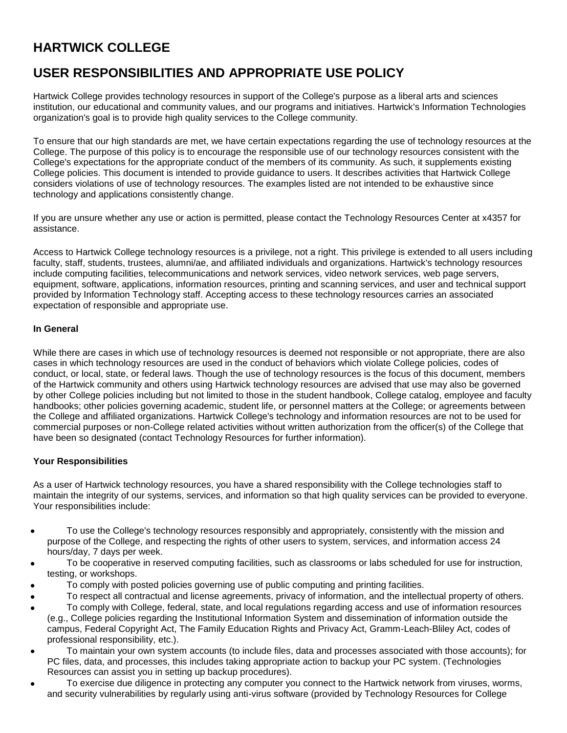# **HARTWICK COLLEGE**

# **USER RESPONSIBILITIES AND APPROPRIATE USE POLICY**

Hartwick College provides technology resources in support of the College's purpose as a liberal arts and sciences institution, our educational and community values, and our programs and initiatives. Hartwick's Information Technologies organization's goal is to provide high quality services to the College community.

To ensure that our high standards are met, we have certain expectations regarding the use of technology resources at the College. The purpose of this policy is to encourage the responsible use of our technology resources consistent with the College's expectations for the appropriate conduct of the members of its community. As such, it supplements existing College policies. This document is intended to provide guidance to users. It describes activities that Hartwick College considers violations of use of technology resources. The examples listed are not intended to be exhaustive since technology and applications consistently change.

If you are unsure whether any use or action is permitted, please contact the Technology Resources Center at x4357 for assistance.

Access to Hartwick College technology resources is a privilege, not a right. This privilege is extended to all users including faculty, staff, students, trustees, alumni/ae, and affiliated individuals and organizations. Hartwick's technology resources include computing facilities, telecommunications and network services, video network services, web page servers, equipment, software, applications, information resources, printing and scanning services, and user and technical support provided by Information Technology staff. Accepting access to these technology resources carries an associated expectation of responsible and appropriate use.

## **In General**

While there are cases in which use of technology resources is deemed not responsible or not appropriate, there are also cases in which technology resources are used in the conduct of behaviors which violate College policies, codes of conduct, or local, state, or federal laws. Though the use of technology resources is the focus of this document, members of the Hartwick community and others using Hartwick technology resources are advised that use may also be governed by other College policies including but not limited to those in the student handbook, College catalog, employee and faculty handbooks; other policies governing academic, student life, or personnel matters at the College; or agreements between the College and affiliated organizations. Hartwick College's technology and information resources are not to be used for commercial purposes or non-College related activities without written authorization from the officer(s) of the College that have been so designated (contact Technology Resources for further information).

## **Your Responsibilities**

As a user of Hartwick technology resources, you have a shared responsibility with the College technologies staff to maintain the integrity of our systems, services, and information so that high quality services can be provided to everyone. Your responsibilities include:

- To use the College's technology resources responsibly and appropriately, consistently with the mission and purpose of the College, and respecting the rights of other users to system, services, and information access 24 hours/day, 7 days per week.
- To be cooperative in reserved computing facilities, such as classrooms or labs scheduled for use for instruction, testing, or workshops.
- To comply with posted policies governing use of public computing and printing facilities.
- To respect all contractual and license agreements, privacy of information, and the intellectual property of others.
- To comply with College, federal, state, and local regulations regarding access and use of information resources (e.g., College policies regarding the Institutional Information System and dissemination of information outside the
- campus, Federal Copyright Act, The Family Education Rights and Privacy Act, Gramm-Leach-Bliley Act, codes of professional responsibility, etc.).
- To maintain your own system accounts (to include files, data and processes associated with those accounts); for PC files, data, and processes, this includes taking appropriate action to backup your PC system. (Technologies Resources can assist you in setting up backup procedures).
- To exercise due diligence in protecting any computer you connect to the Hartwick network from viruses, worms, and security vulnerabilities by regularly using anti-virus software (provided by Technology Resources for College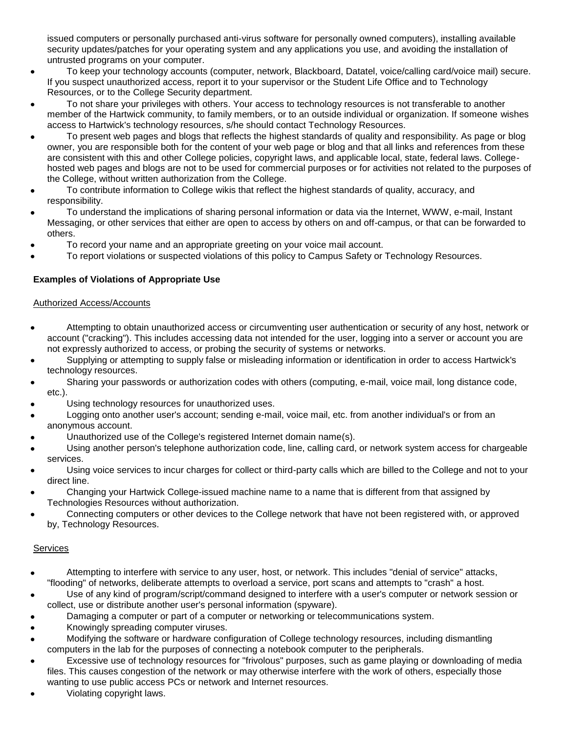issued computers or personally purchased anti-virus software for personally owned computers), installing available security updates/patches for your operating system and any applications you use, and avoiding the installation of untrusted programs on your computer.

- To keep your technology accounts (computer, network, Blackboard, Datatel, voice/calling card/voice mail) secure. If you suspect unauthorized access, report it to your supervisor or the Student Life Office and to Technology Resources, or to the College Security department.
- To not share your privileges with others. Your access to technology resources is not transferable to another  $\bullet$ member of the Hartwick community, to family members, or to an outside individual or organization. If someone wishes access to Hartwick's technology resources, s/he should contact Technology Resources.
- To present web pages and blogs that reflects the highest standards of quality and responsibility. As page or blog owner, you are responsible both for the content of your web page or blog and that all links and references from these are consistent with this and other College policies, copyright laws, and applicable local, state, federal laws. Collegehosted web pages and blogs are not to be used for commercial purposes or for activities not related to the purposes of the College, without written authorization from the College.
- To contribute information to College wikis that reflect the highest standards of quality, accuracy, and responsibility.
- To understand the implications of sharing personal information or data via the Internet, WWW, e-mail, Instant Messaging, or other services that either are open to access by others on and off-campus, or that can be forwarded to others.
- To record your name and an appropriate greeting on your voice mail account.
- To report violations or suspected violations of this policy to Campus Safety or Technology Resources.

## **Examples of Violations of Appropriate Use**

## Authorized Access/Accounts

- Attempting to obtain unauthorized access or circumventing user authentication or security of any host, network or account ("cracking"). This includes accessing data not intended for the user, logging into a server or account you are not expressly authorized to access, or probing the security of systems or networks.
- Supplying or attempting to supply false or misleading information or identification in order to access Hartwick's technology resources.
- Sharing your passwords or authorization codes with others (computing, e-mail, voice mail, long distance code, etc.).
- Using technology resources for unauthorized uses.
- Logging onto another user's account; sending e-mail, voice mail, etc. from another individual's or from an anonymous account.
- Unauthorized use of the College's registered Internet domain name(s).
- Using another person's telephone authorization code, line, calling card, or network system access for chargeable services.
- Using voice services to incur charges for collect or third-party calls which are billed to the College and not to your direct line.
- Changing your Hartwick College-issued machine name to a name that is different from that assigned by Technologies Resources without authorization.
- Connecting computers or other devices to the College network that have not been registered with, or approved by, Technology Resources.

## **Services**

- Attempting to interfere with service to any user, host, or network. This includes "denial of service" attacks, "flooding" of networks, deliberate attempts to overload a service, port scans and attempts to "crash" a host.
- Use of any kind of program/script/command designed to interfere with a user's computer or network session or collect, use or distribute another user's personal information (spyware).
- Damaging a computer or part of a computer or networking or telecommunications system.
- Knowingly spreading computer viruses.
- Modifying the software or hardware configuration of College technology resources, including dismantling computers in the lab for the purposes of connecting a notebook computer to the peripherals.
- Excessive use of technology resources for "frivolous" purposes, such as game playing or downloading of media files. This causes congestion of the network or may otherwise interfere with the work of others, especially those wanting to use public access PCs or network and Internet resources.
- Violating copyright laws.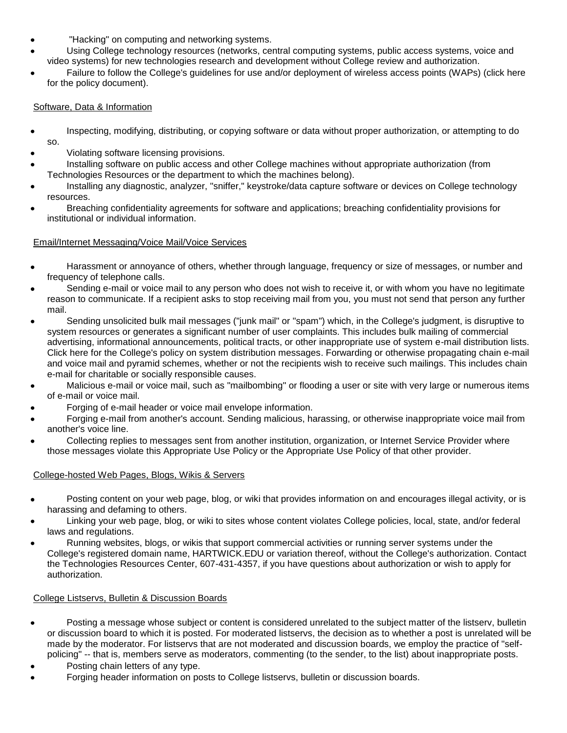- "Hacking" on computing and networking systems.
- Using College technology resources (networks, central computing systems, public access systems, voice and video systems) for new technologies research and development without College review and authorization.
- Failure to follow the College's guidelines for use and/or deployment of wireless access points (WAPs) (click here for the [policy document\)](http://www.hartwick.edu/x269.xml).

## Software, Data & Information

- Inspecting, modifying, distributing, or copying software or data without proper authorization, or attempting to do so.
- Violating software licensing provisions.
- Installing software on public access and other College machines without appropriate authorization (from Technologies Resources or the department to which the machines belong).
- Installing any diagnostic, analyzer, "sniffer," keystroke/data capture software or devices on College technology resources.
- Breaching confidentiality agreements for software and applications; breaching confidentiality provisions for institutional or individual information.

## Email/Internet Messaging/Voice Mail/Voice Services

- Harassment or annoyance of others, whether through language, frequency or size of messages, or number and frequency of telephone calls.
- Sending e-mail or voice mail to any person who does not wish to receive it, or with whom you have no legitimate reason to communicate. If a recipient asks to stop receiving mail from you, you must not send that person any further mail.
- Sending unsolicited bulk mail messages ("junk mail" or "spam") which, in the College's judgment, is disruptive to system resources or generates a significant number of user complaints. This includes bulk mailing of commercial advertising, informational announcements, political tracts, or other inappropriate use of system e-mail distribution lists. Click here for the [College's policy on system distribution messages. F](http://www.hartwick.edu/x277.xml)orwarding or otherwise propagating chain e-mail and voice mail and pyramid schemes, whether or not the recipients wish to receive such mailings. This includes chain e-mail for charitable or socially responsible causes.
- Malicious e-mail or voice mail, such as "mailbombing" or flooding a user or site with very large or numerous items of e-mail or voice mail.
- Forging of e-mail header or voice mail envelope information.
- Forging e-mail from another's account. Sending malicious, harassing, or otherwise inappropriate voice mail from another's voice line.
- Collecting replies to messages sent from another institution, organization, or Internet Service Provider where those messages violate this Appropriate Use Policy or the Appropriate Use Policy of that other provider.

## College-hosted Web Pages, Blogs, Wikis & Servers

- Posting content on your web page, blog, or wiki that provides information on and encourages illegal activity, or is harassing and defaming to others.
- Linking your web page, blog, or wiki to sites whose content violates College policies, local, state, and/or federal laws and regulations.
- Running websites, blogs, or wikis that support commercial activities or running server systems under the College's registered domain name, HARTWICK.EDU or variation thereof, without the College's authorization. Contact the Technologies Resources Center, 607-431-4357, if you have questions about authorization or wish to apply for authorization.

## College Listservs, Bulletin & Discussion Boards

- Posting a message whose subject or content is considered unrelated to the subject matter of the listserv, bulletin or discussion board to which it is posted. For moderated listservs, the decision as to whether a post is unrelated will be made by the moderator. For listservs that are not moderated and discussion boards, we employ the practice of "selfpolicing" -- that is, members serve as moderators, commenting (to the sender, to the list) about inappropriate posts.
- Posting chain letters of any type.
- Forging header information on posts to College listservs, bulletin or discussion boards.